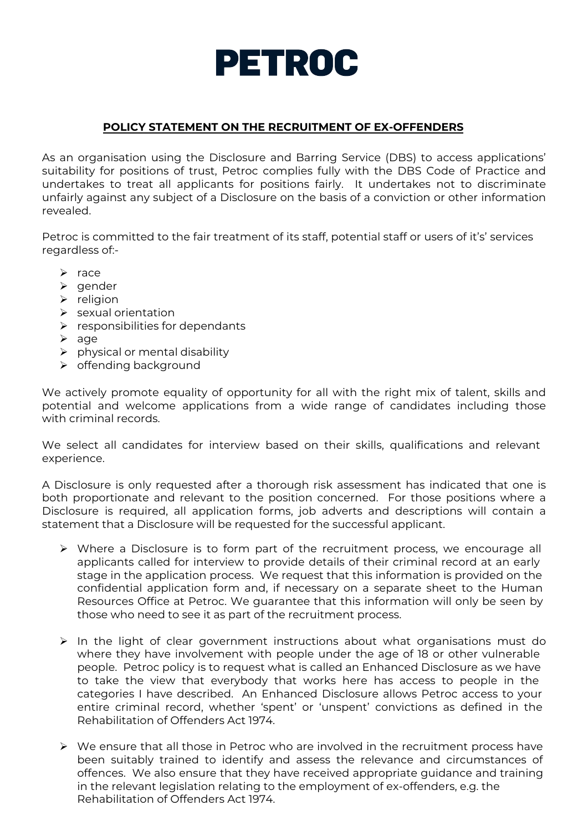

## **POLICY STATEMENT ON THE RECRUITMENT OF EX-OFFENDERS**

As an organisation using the Disclosure and Barring Service (DBS) to access applications' suitability for positions of trust, Petroc complies fully with the DBS Code of Practice and undertakes to treat all applicants for positions fairly. It undertakes not to discriminate unfairly against any subject of a Disclosure on the basis of a conviction or other information revealed.

Petroc is committed to the fair treatment of its staff, potential staff or users of it's' services regardless of:-

- $\triangleright$  race
- $\triangleright$  gender
- $\triangleright$  religion
- $\triangleright$  sexual orientation
- $\triangleright$  responsibilities for dependants
- $\triangleright$  age
- $\triangleright$  physical or mental disability
- $\triangleright$  offending background

We actively promote equality of opportunity for all with the right mix of talent, skills and potential and welcome applications from a wide range of candidates including those with criminal records.

We select all candidates for interview based on their skills, qualifications and relevant experience.

A Disclosure is only requested after a thorough risk assessment has indicated that one is both proportionate and relevant to the position concerned. For those positions where a Disclosure is required, all application forms, job adverts and descriptions will contain a statement that a Disclosure will be requested for the successful applicant.

- $\triangleright$  Where a Disclosure is to form part of the recruitment process, we encourage all applicants called for interview to provide details of their criminal record at an early stage in the application process. We request that this information is provided on the confidential application form and, if necessary on a separate sheet to the Human Resources Office at Petroc. We guarantee that this information will only be seen by those who need to see it as part of the recruitment process.
- $\triangleright$  In the light of clear government instructions about what organisations must do where they have involvement with people under the age of 18 or other vulnerable people. Petroc policy is to request what is called an Enhanced Disclosure as we have to take the view that everybody that works here has access to people in the categories I have described. An Enhanced Disclosure allows Petroc access to your entire criminal record, whether 'spent' or 'unspent' convictions as defined in the Rehabilitation of Offenders Act 1974.
- $\triangleright$  We ensure that all those in Petroc who are involved in the recruitment process have been suitably trained to identify and assess the relevance and circumstances of offences. We also ensure that they have received appropriate guidance and training in the relevant legislation relating to the employment of ex-offenders, e.g. the Rehabilitation of Offenders Act 1974.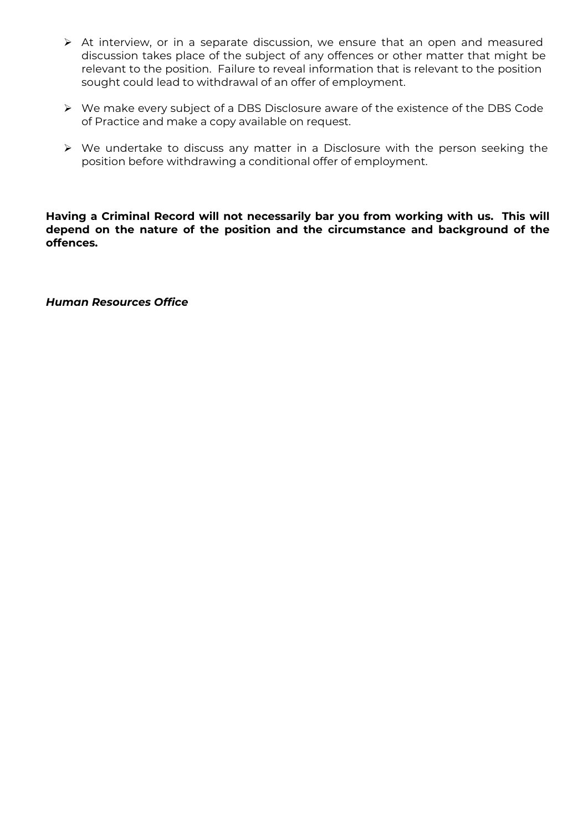- At interview, or in a separate discussion, we ensure that an open and measured discussion takes place of the subject of any offences or other matter that might be relevant to the position. Failure to reveal information that is relevant to the position sought could lead to withdrawal of an offer of employment.
- We make every subject of a DBS Disclosure aware of the existence of the DBS Code of Practice and make a copy available on request.
- $\triangleright$  We undertake to discuss any matter in a Disclosure with the person seeking the position before withdrawing a conditional offer of employment.

**Having a Criminal Record will not necessarily bar you from working with us. This will depend on the nature of the position and the circumstance and background of the offences.** 

*Human Resources Office*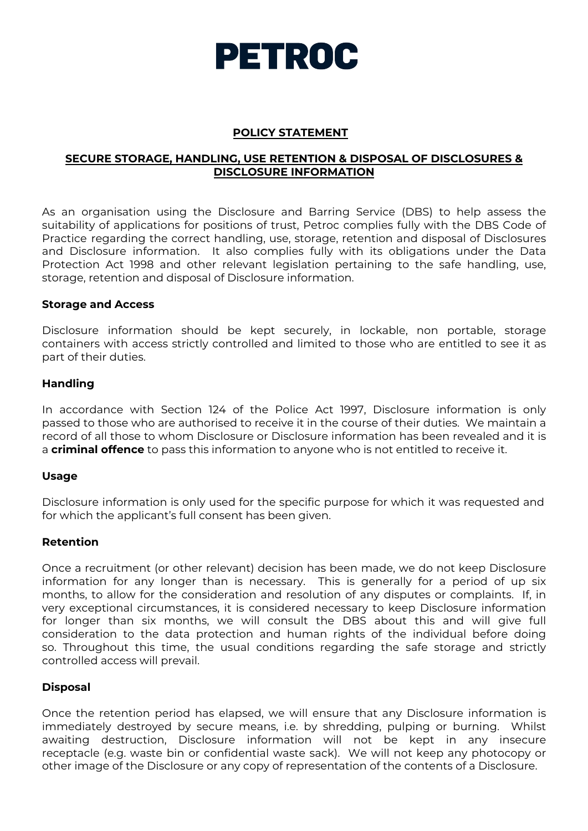

### **POLICY STATEMENT**

## **SECURE STORAGE, HANDLING, USE RETENTION & DISPOSAL OF DISCLOSURES & DISCLOSURE INFORMATION**

As an organisation using the Disclosure and Barring Service (DBS) to help assess the suitability of applications for positions of trust, Petroc complies fully with the DBS Code of Practice regarding the correct handling, use, storage, retention and disposal of Disclosures and Disclosure information. It also complies fully with its obligations under the Data Protection Act 1998 and other relevant legislation pertaining to the safe handling, use, storage, retention and disposal of Disclosure information.

### **Storage and Access**

Disclosure information should be kept securely, in lockable, non portable, storage containers with access strictly controlled and limited to those who are entitled to see it as part of their duties.

### **Handling**

In accordance with Section 124 of the Police Act 1997, Disclosure information is only passed to those who are authorised to receive it in the course of their duties. We maintain a record of all those to whom Disclosure or Disclosure information has been revealed and it is a **criminal offence** to pass this information to anyone who is not entitled to receive it.

#### **Usage**

Disclosure information is only used for the specific purpose for which it was requested and for which the applicant's full consent has been given.

### **Retention**

Once a recruitment (or other relevant) decision has been made, we do not keep Disclosure information for any longer than is necessary. This is generally for a period of up six months, to allow for the consideration and resolution of any disputes or complaints. If, in very exceptional circumstances, it is considered necessary to keep Disclosure information for longer than six months, we will consult the DBS about this and will give full consideration to the data protection and human rights of the individual before doing so. Throughout this time, the usual conditions regarding the safe storage and strictly controlled access will prevail.

### **Disposal**

Once the retention period has elapsed, we will ensure that any Disclosure information is immediately destroyed by secure means, i.e. by shredding, pulping or burning. Whilst awaiting destruction, Disclosure information will not be kept in any insecure receptacle (e.g. waste bin or confidential waste sack). We will not keep any photocopy or other image of the Disclosure or any copy of representation of the contents of a Disclosure.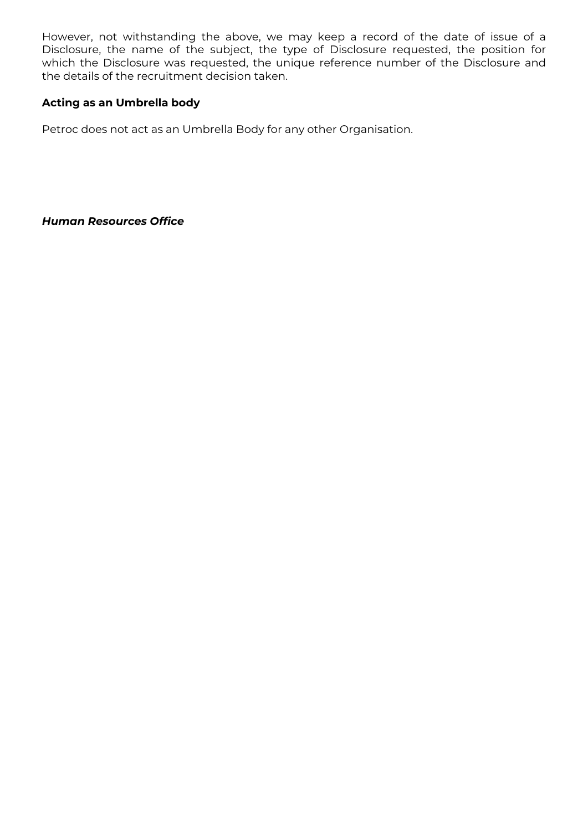However, not withstanding the above, we may keep a record of the date of issue of a Disclosure, the name of the subject, the type of Disclosure requested, the position for which the Disclosure was requested, the unique reference number of the Disclosure and the details of the recruitment decision taken.

## **Acting as an Umbrella body**

Petroc does not act as an Umbrella Body for any other Organisation.

*Human Resources Office*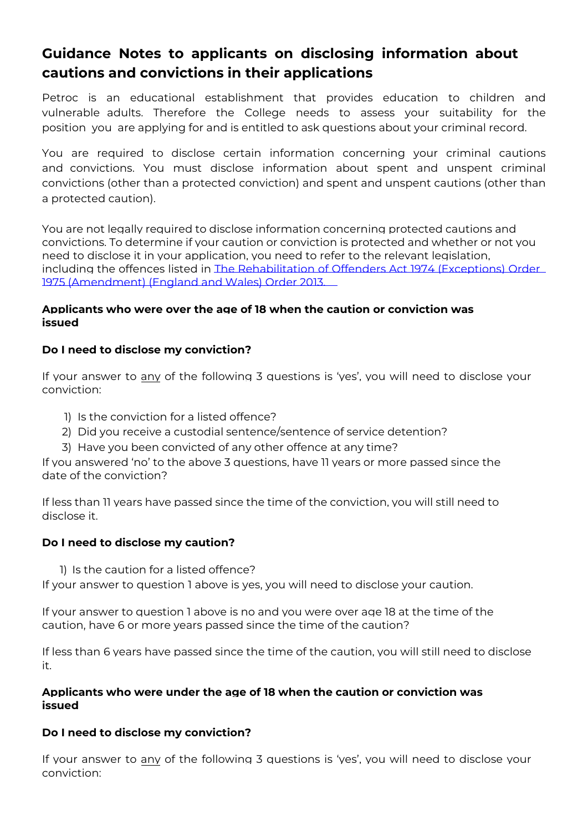# **Guidance Notes to applicants on disclosing information about cautions and convictions in their applications**

Petroc is an educational establishment that provides education to children and vulnerable adults. Therefore the College needs to assess your suitability for the position you are applying for and is entitled to ask questions about your criminal record.

You are required to disclose certain information concerning your criminal cautions and convictions. You must disclose information about spent and unspent criminal convictions (other than a protected conviction) and spent and unspent cautions (other than a protected caution).

You are not legally required to disclose information concerning protected cautions and convictions. To determine if your caution or conviction is protected and whether or not you need to disclose it in your application, you need to refer to the relevant legislation, including the offences listed in The Rehabilitation of Offenders Act 1974 (Exceptions) Order [1975 \(Amendment\) \(England and Wales\) Order 2013.](http://www.legislation.gov.uk/uksi/2013/1198/made)

## **Applicants who were over the age of 18 when the caution or conviction was issued**

## **Do I need to disclose my conviction?**

If your answer to any of the following 3 questions is 'yes', you will need to disclose your conviction:

- 1) Is the conviction for a listed offence?
- 2) Did you receive a custodial sentence/sentence of service detention?
- 3) Have you been convicted of any other offence at any time?

If you answered 'no' to the above 3 questions, have 11 years or more passed since the date of the conviction?

If less than 11 years have passed since the time of the conviction, you will still need to disclose it.

## **Do I need to disclose my caution?**

1) Is the caution for a listed offence?

If your answer to question 1 above is yes, you will need to disclose your caution.

If your answer to question 1 above is no and you were over age 18 at the time of the caution, have 6 or more years passed since the time of the caution?

If less than 6 years have passed since the time of the caution, you will still need to disclose it.

## **Applicants who were under the age of 18 when the caution or conviction was issued**

## **Do I need to disclose my conviction?**

If your answer to any of the following 3 questions is 'yes', you will need to disclose your conviction: